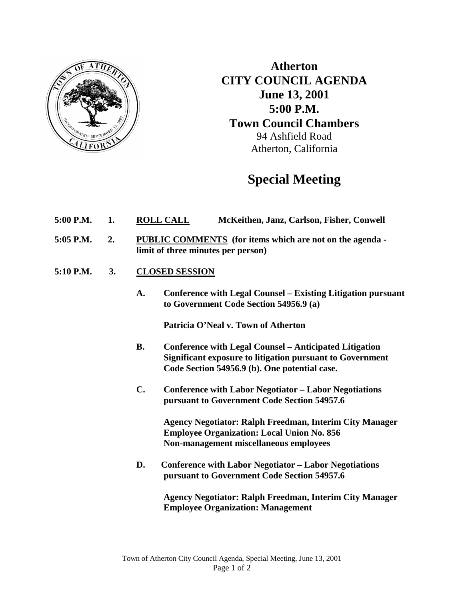

**Atherton CITY COUNCIL AGENDA June 13, 2001 5:00 P.M. Town Council Chambers** 94 Ashfield Road Atherton, California

# **Special Meeting**

- **5:00 P.M. 1. ROLL CALL McKeithen, Janz, Carlson, Fisher, Conwell**
- **5:05 P.M. 2. PUBLIC COMMENTS (for items which are not on the agenda limit of three minutes per person)**
- **5:10 P.M. 3. CLOSED SESSION**
	- **A. Conference with Legal Counsel – Existing Litigation pursuant to Government Code Section 54956.9 (a)**

**Patricia O'Neal v. Town of Atherton**

- **B. Conference with Legal Counsel – Anticipated Litigation Significant exposure to litigation pursuant to Government Code Section 54956.9 (b). One potential case.**
- **C. Conference with Labor Negotiator – Labor Negotiations pursuant to Government Code Section 54957.6**

**Agency Negotiator: Ralph Freedman, Interim City Manager Employee Organization: Local Union No. 856 Non-management miscellaneous employees**

**D. Conference with Labor Negotiator – Labor Negotiations pursuant to Government Code Section 54957.6**

> **Agency Negotiator: Ralph Freedman, Interim City Manager Employee Organization: Management**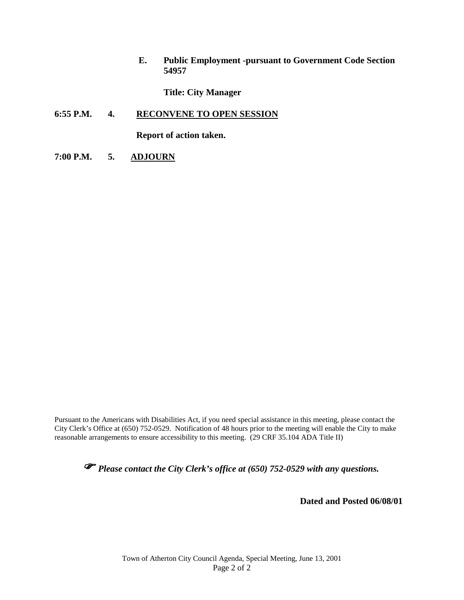**E. Public Employment -pursuant to Government Code Section 54957**

**Title: City Manager**

#### **6:55 P.M. 4. RECONVENE TO OPEN SESSION**

**Report of action taken.**

**7:00 P.M. 5. ADJOURN**

Pursuant to the Americans with Disabilities Act, if you need special assistance in this meeting, please contact the City Clerk's Office at (650) 752-0529. Notification of 48 hours prior to the meeting will enable the City to make reasonable arrangements to ensure accessibility to this meeting. (29 CRF 35.104 ADA Title II)

*Please contact the City Clerk's office at (650) 752-0529 with any questions.* 

**Dated and Posted 06/08/01**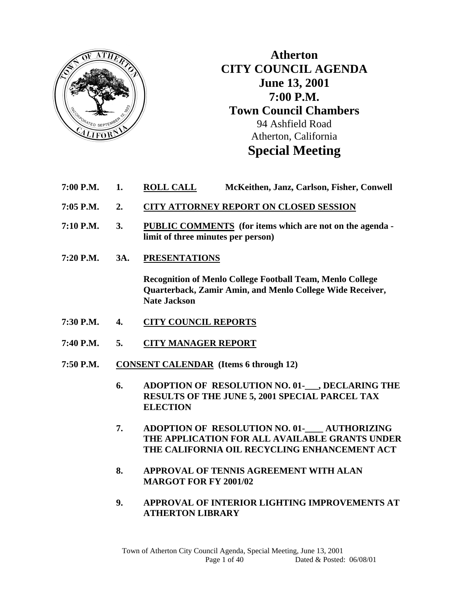

**Atherton CITY COUNCIL AGENDA June 13, 2001 7:00 P.M. Town Council Chambers**  94 Ashfield Road Atherton, California **Special Meeting** 

- **7:00 P.M. 1. ROLL CALL McKeithen, Janz, Carlson, Fisher, Conwell**
- **7:05 P.M. 2. CITY ATTORNEY REPORT ON CLOSED SESSION**
- **7:10 P.M. 3. PUBLIC COMMENTS (for items which are not on the agenda limit of three minutes per person)**
- **7:20 P.M. 3A. PRESENTATIONS**

 **Recognition of Menlo College Football Team, Menlo College Quarterback, Zamir Amin, and Menlo College Wide Receiver, Nate Jackson** 

- **7:30 P.M. 4. CITY COUNCIL REPORTS**
- **7:40 P.M. 5. CITY MANAGER REPORT**
- **7:50 P.M. CONSENT CALENDAR (Items 6 through 12)** 
	- **6. ADOPTION OF RESOLUTION NO. 01-\_\_\_, DECLARING THE RESULTS OF THE JUNE 5, 2001 SPECIAL PARCEL TAX ELECTION**
	- **7. ADOPTION OF RESOLUTION NO. 01-\_\_\_\_ AUTHORIZING THE APPLICATION FOR ALL AVAILABLE GRANTS UNDER THE CALIFORNIA OIL RECYCLING ENHANCEMENT ACT**
	- **8. APPROVAL OF TENNIS AGREEMENT WITH ALAN MARGOT FOR FY 2001/02**
	- **9. APPROVAL OF INTERIOR LIGHTING IMPROVEMENTS AT ATHERTON LIBRARY**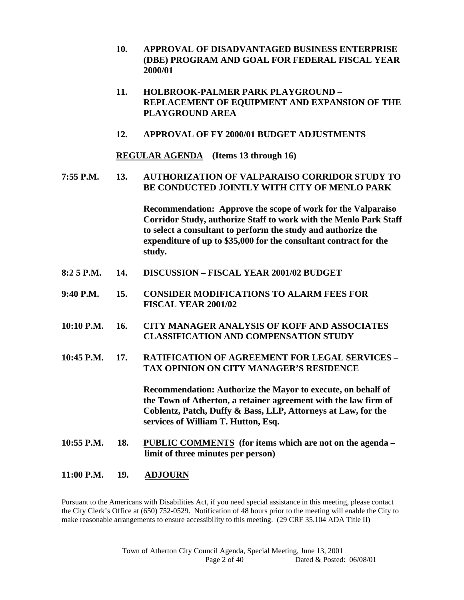- **10. APPROVAL OF DISADVANTAGED BUSINESS ENTERPRISE (DBE) PROGRAM AND GOAL FOR FEDERAL FISCAL YEAR 2000/01**
- **11. HOLBROOK-PALMER PARK PLAYGROUND REPLACEMENT OF EQUIPMENT AND EXPANSION OF THE PLAYGROUND AREA**
- **12. APPROVAL OF FY 2000/01 BUDGET ADJUSTMENTS**

 **REGULAR AGENDA (Items 13 through 16)** 

**7:55 P.M. 13. AUTHORIZATION OF VALPARAISO CORRIDOR STUDY TO BE CONDUCTED JOINTLY WITH CITY OF MENLO PARK** 

> **Recommendation: Approve the scope of work for the Valparaiso Corridor Study, authorize Staff to work with the Menlo Park Staff to select a consultant to perform the study and authorize the expenditure of up to \$35,000 for the consultant contract for the study.**

- **8:2 5 P.M. 14. DISCUSSION FISCAL YEAR 2001/02 BUDGET**
- **9:40 P.M. 15. CONSIDER MODIFICATIONS TO ALARM FEES FOR FISCAL YEAR 2001/02**
- **10:10 P.M. 16. CITY MANAGER ANALYSIS OF KOFF AND ASSOCIATES CLASSIFICATION AND COMPENSATION STUDY**
- **10:45 P.M. 17. RATIFICATION OF AGREEMENT FOR LEGAL SERVICES TAX OPINION ON CITY MANAGER'S RESIDENCE**

 **Recommendation: Authorize the Mayor to execute, on behalf of the Town of Atherton, a retainer agreement with the law firm of Coblentz, Patch, Duffy & Bass, LLP, Attorneys at Law, for the services of William T. Hutton, Esq.** 

**10:55 P.M. 18. PUBLIC COMMENTS (for items which are not on the agenda – limit of three minutes per person)** 

#### **11:00 P.M. 19. ADJOURN**

Pursuant to the Americans with Disabilities Act, if you need special assistance in this meeting, please contact the City Clerk's Office at (650) 752-0529. Notification of 48 hours prior to the meeting will enable the City to make reasonable arrangements to ensure accessibility to this meeting. (29 CRF 35.104 ADA Title II)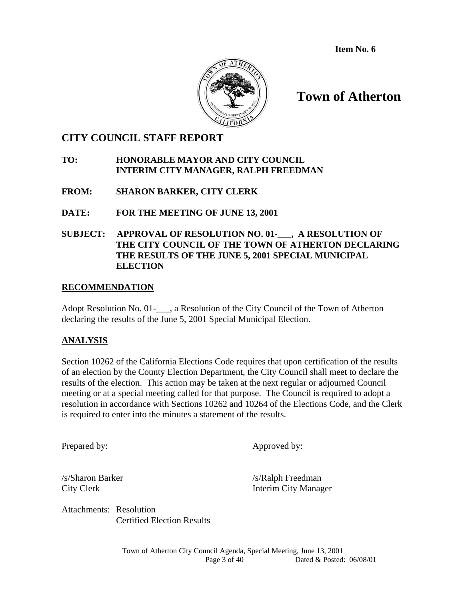**Item No. 6** 



# **Town of Atherton**

### **CITY COUNCIL STAFF REPORT**

#### **TO: HONORABLE MAYOR AND CITY COUNCIL INTERIM CITY MANAGER, RALPH FREEDMAN**

### **FROM: SHARON BARKER, CITY CLERK**

**DATE: FOR THE MEETING OF JUNE 13, 2001** 

### **SUBJECT: APPROVAL OF RESOLUTION NO. 01-\_\_\_, A RESOLUTION OF THE CITY COUNCIL OF THE TOWN OF ATHERTON DECLARING THE RESULTS OF THE JUNE 5, 2001 SPECIAL MUNICIPAL ELECTION**

#### **RECOMMENDATION**

Adopt Resolution No. 01-\_\_\_, a Resolution of the City Council of the Town of Atherton declaring the results of the June 5, 2001 Special Municipal Election.

#### **ANALYSIS**

Section 10262 of the California Elections Code requires that upon certification of the results of an election by the County Election Department, the City Council shall meet to declare the results of the election. This action may be taken at the next regular or adjourned Council meeting or at a special meeting called for that purpose. The Council is required to adopt a resolution in accordance with Sections 10262 and 10264 of the Elections Code, and the Clerk is required to enter into the minutes a statement of the results.

Prepared by: Approved by:

/s/Sharon Barker /s/Ralph Freedman City Clerk Interim City Manager

Attachments: Resolution Certified Election Results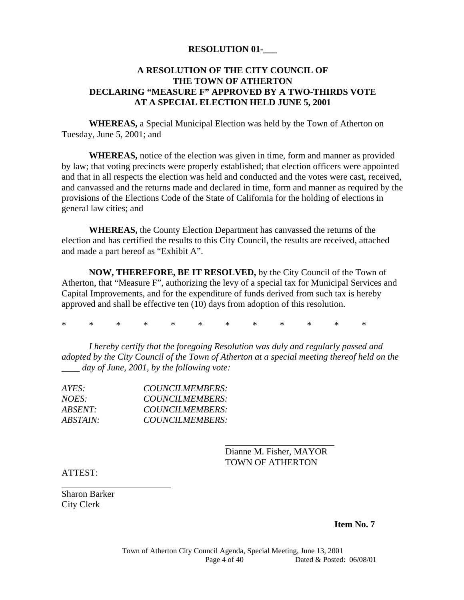#### **RESOLUTION 01-\_\_\_**

#### **A RESOLUTION OF THE CITY COUNCIL OF THE TOWN OF ATHERTON DECLARING "MEASURE F" APPROVED BY A TWO-THIRDS VOTE AT A SPECIAL ELECTION HELD JUNE 5, 2001**

**WHEREAS,** a Special Municipal Election was held by the Town of Atherton on Tuesday, June 5, 2001; and

**WHEREAS,** notice of the election was given in time, form and manner as provided by law; that voting precincts were properly established; that election officers were appointed and that in all respects the election was held and conducted and the votes were cast, received, and canvassed and the returns made and declared in time, form and manner as required by the provisions of the Elections Code of the State of California for the holding of elections in general law cities; and

**WHEREAS,** the County Election Department has canvassed the returns of the election and has certified the results to this City Council, the results are received, attached and made a part hereof as "Exhibit A".

**NOW, THEREFORE, BE IT RESOLVED,** by the City Council of the Town of Atherton, that "Measure F", authorizing the levy of a special tax for Municipal Services and Capital Improvements, and for the expenditure of funds derived from such tax is hereby approved and shall be effective ten (10) days from adoption of this resolution.

\* \* \* \* \* \* \* \* \* \* \* \*

*I hereby certify that the foregoing Resolution was duly and regularly passed and adopted by the City Council of the Town of Atherton at a special meeting thereof held on the*  day of June, 2001, by the following vote:

| AYES:           | COUNCILMEMBERS: |
|-----------------|-----------------|
| NOES:           | COUNCILMEMBERS: |
| ABSENT:         | COUNCILMEMBERS: |
| <i>ABSTAIN:</i> | COUNCILMEMBERS: |

 Dianne M. Fisher, MAYOR TOWN OF ATHERTON

ATTEST:

 $\overline{a}$ 

Sharon Barker City Clerk

**Item No. 7**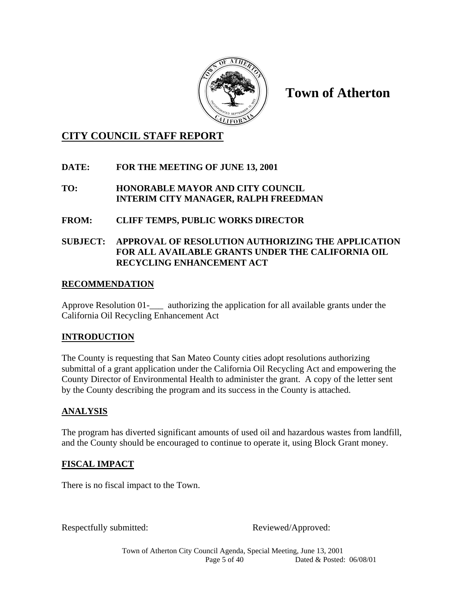

**Town of Atherton** 

## **CITY COUNCIL STAFF REPORT**

### **DATE: FOR THE MEETING OF JUNE 13, 2001**

#### **TO: HONORABLE MAYOR AND CITY COUNCIL INTERIM CITY MANAGER, RALPH FREEDMAN**

### **FROM: CLIFF TEMPS, PUBLIC WORKS DIRECTOR**

### **SUBJECT: APPROVAL OF RESOLUTION AUTHORIZING THE APPLICATION FOR ALL AVAILABLE GRANTS UNDER THE CALIFORNIA OIL RECYCLING ENHANCEMENT ACT**

### **RECOMMENDATION**

Approve Resolution 01- authorizing the application for all available grants under the California Oil Recycling Enhancement Act

### **INTRODUCTION**

The County is requesting that San Mateo County cities adopt resolutions authorizing submittal of a grant application under the California Oil Recycling Act and empowering the County Director of Environmental Health to administer the grant. A copy of the letter sent by the County describing the program and its success in the County is attached.

### **ANALYSIS**

The program has diverted significant amounts of used oil and hazardous wastes from landfill, and the County should be encouraged to continue to operate it, using Block Grant money.

#### **FISCAL IMPACT**

There is no fiscal impact to the Town.

Respectfully submitted: Reviewed/Approved:

Town of Atherton City Council Agenda, Special Meeting, June 13, 2001 Page 5 of 40 Dated & Posted: 06/08/01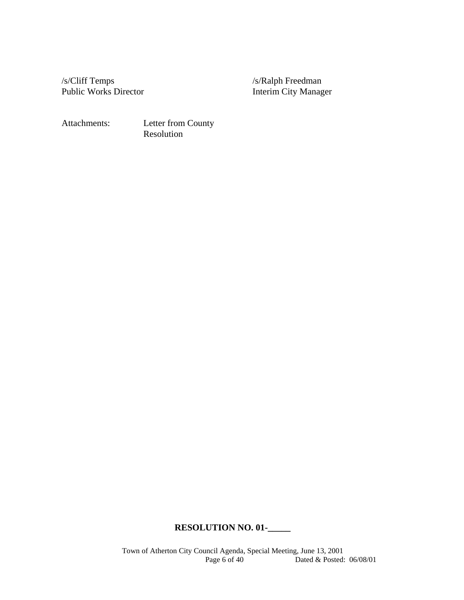/s/Cliff Temps /s/Ralph Freedman Public Works Director **Interim City Manager** 

Attachments: Letter from County Resolution

### **RESOLUTION NO. 01-\_\_\_\_\_**

Town of Atherton City Council Agenda, Special Meeting, June 13, 2001<br>Page 6 of 40 Dated & Posted: Dated & Posted:  $06/08/01$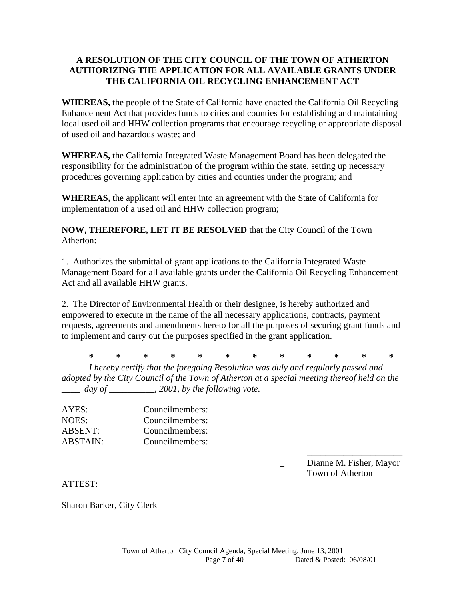#### **A RESOLUTION OF THE CITY COUNCIL OF THE TOWN OF ATHERTON AUTHORIZING THE APPLICATION FOR ALL AVAILABLE GRANTS UNDER THE CALIFORNIA OIL RECYCLING ENHANCEMENT ACT**

**WHEREAS,** the people of the State of California have enacted the California Oil Recycling Enhancement Act that provides funds to cities and counties for establishing and maintaining local used oil and HHW collection programs that encourage recycling or appropriate disposal of used oil and hazardous waste; and

**WHEREAS,** the California Integrated Waste Management Board has been delegated the responsibility for the administration of the program within the state, setting up necessary procedures governing application by cities and counties under the program; and

**WHEREAS,** the applicant will enter into an agreement with the State of California for implementation of a used oil and HHW collection program;

**NOW, THEREFORE, LET IT BE RESOLVED** that the City Council of the Town Atherton:

1. Authorizes the submittal of grant applications to the California Integrated Waste Management Board for all available grants under the California Oil Recycling Enhancement Act and all available HHW grants.

2. The Director of Environmental Health or their designee, is hereby authorized and empowered to execute in the name of the all necessary applications, contracts, payment requests, agreements and amendments hereto for all the purposes of securing grant funds and to implement and carry out the purposes specified in the grant application.

 **\* \* \* \* \* \* \* \* \* \* \* \***  *I hereby certify that the foregoing Resolution was duly and regularly passed and adopted by the City Council of the Town of Atherton at a special meeting thereof held on the \_\_\_\_ day of \_\_\_\_\_\_\_\_\_\_, 2001, by the following vote.* 

AYES: Councilmembers: NOES: Councilmembers: ABSENT: Councilmembers: ABSTAIN: Councilmembers:

> \_\_\_\_\_\_\_\_\_\_\_\_\_\_\_\_\_\_\_\_\_ \_ Dianne M. Fisher, Mayor Town of Atherton

ATTEST:

\_\_\_\_\_\_\_\_\_\_\_\_\_\_\_\_\_\_ Sharon Barker, City Clerk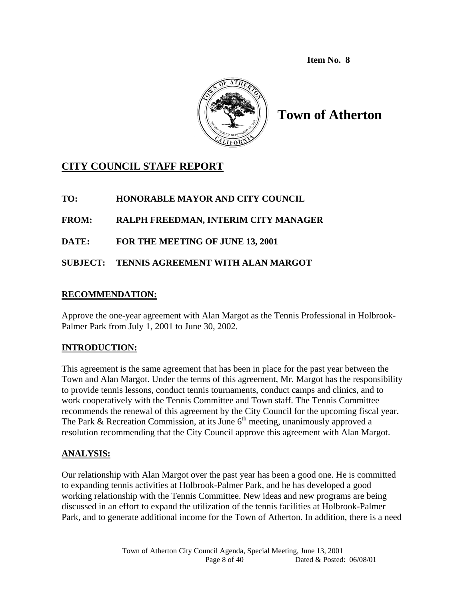**Item No. 8** 



**Town of Atherton** 

# **CITY COUNCIL STAFF REPORT**

### **TO: HONORABLE MAYOR AND CITY COUNCIL**

### **FROM: RALPH FREEDMAN, INTERIM CITY MANAGER**

**DATE: FOR THE MEETING OF JUNE 13, 2001** 

### **SUBJECT: TENNIS AGREEMENT WITH ALAN MARGOT**

### **RECOMMENDATION:**

Approve the one-year agreement with Alan Margot as the Tennis Professional in Holbrook-Palmer Park from July 1, 2001 to June 30, 2002.

### **INTRODUCTION:**

This agreement is the same agreement that has been in place for the past year between the Town and Alan Margot. Under the terms of this agreement, Mr. Margot has the responsibility to provide tennis lessons, conduct tennis tournaments, conduct camps and clinics, and to work cooperatively with the Tennis Committee and Town staff. The Tennis Committee recommends the renewal of this agreement by the City Council for the upcoming fiscal year. The Park & Recreation Commission, at its June  $6<sup>th</sup>$  meeting, unanimously approved a resolution recommending that the City Council approve this agreement with Alan Margot.

### **ANALYSIS:**

Our relationship with Alan Margot over the past year has been a good one. He is committed to expanding tennis activities at Holbrook-Palmer Park, and he has developed a good working relationship with the Tennis Committee. New ideas and new programs are being discussed in an effort to expand the utilization of the tennis facilities at Holbrook-Palmer Park, and to generate additional income for the Town of Atherton. In addition, there is a need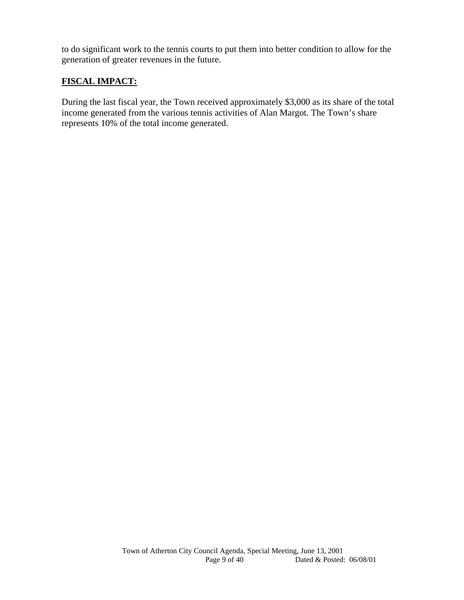to do significant work to the tennis courts to put them into better condition to allow for the generation of greater revenues in the future.

### **FISCAL IMPACT:**

During the last fiscal year, the Town received approximately \$3,000 as its share of the total income generated from the various tennis activities of Alan Margot. The Town's share represents 10% of the total income generated.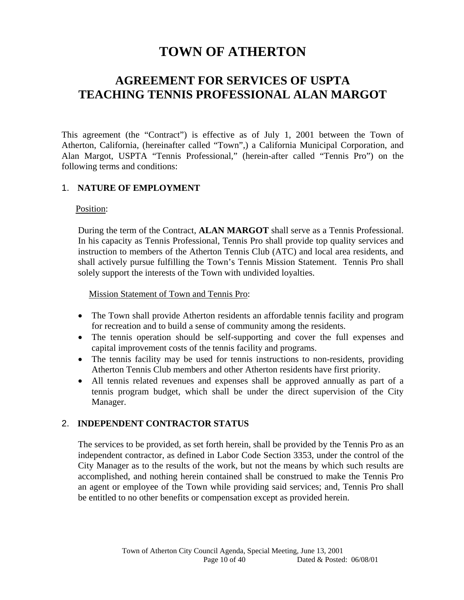# **TOWN OF ATHERTON**

# **AGREEMENT FOR SERVICES OF USPTA TEACHING TENNIS PROFESSIONAL ALAN MARGOT**

This agreement (the "Contract") is effective as of July 1, 2001 between the Town of Atherton, California, (hereinafter called "Town",) a California Municipal Corporation, and Alan Margot, USPTA "Tennis Professional," (herein-after called "Tennis Pro") on the following terms and conditions:

#### 1. **NATURE OF EMPLOYMENT**

#### Position:

During the term of the Contract, **ALAN MARGOT** shall serve as a Tennis Professional. In his capacity as Tennis Professional, Tennis Pro shall provide top quality services and instruction to members of the Atherton Tennis Club (ATC) and local area residents, and shall actively pursue fulfilling the Town's Tennis Mission Statement. Tennis Pro shall solely support the interests of the Town with undivided loyalties.

#### Mission Statement of Town and Tennis Pro:

- The Town shall provide Atherton residents an affordable tennis facility and program for recreation and to build a sense of community among the residents.
- The tennis operation should be self-supporting and cover the full expenses and capital improvement costs of the tennis facility and programs.
- The tennis facility may be used for tennis instructions to non-residents, providing Atherton Tennis Club members and other Atherton residents have first priority.
- All tennis related revenues and expenses shall be approved annually as part of a tennis program budget, which shall be under the direct supervision of the City Manager.

#### 2. **INDEPENDENT CONTRACTOR STATUS**

The services to be provided, as set forth herein, shall be provided by the Tennis Pro as an independent contractor, as defined in Labor Code Section 3353, under the control of the City Manager as to the results of the work, but not the means by which such results are accomplished, and nothing herein contained shall be construed to make the Tennis Pro an agent or employee of the Town while providing said services; and, Tennis Pro shall be entitled to no other benefits or compensation except as provided herein.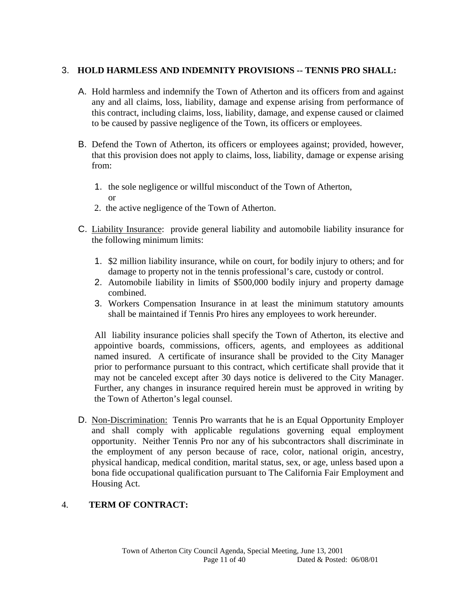#### 3. **HOLD HARMLESS AND INDEMNITY PROVISIONS -- TENNIS PRO SHALL:**

- A. Hold harmless and indemnify the Town of Atherton and its officers from and against any and all claims, loss, liability, damage and expense arising from performance of this contract, including claims, loss, liability, damage, and expense caused or claimed to be caused by passive negligence of the Town, its officers or employees.
- B. Defend the Town of Atherton, its officers or employees against; provided, however, that this provision does not apply to claims, loss, liability, damage or expense arising from:
	- 1. the sole negligence or willful misconduct of the Town of Atherton, or
	- 2. the active negligence of the Town of Atherton.
- C. Liability Insurance: provide general liability and automobile liability insurance for the following minimum limits:
	- 1. \$2 million liability insurance, while on court, for bodily injury to others; and for damage to property not in the tennis professional's care, custody or control.
	- 2. Automobile liability in limits of \$500,000 bodily injury and property damage combined.
	- 3. Workers Compensation Insurance in at least the minimum statutory amounts shall be maintained if Tennis Pro hires any employees to work hereunder.

All liability insurance policies shall specify the Town of Atherton, its elective and appointive boards, commissions, officers, agents, and employees as additional named insured. A certificate of insurance shall be provided to the City Manager prior to performance pursuant to this contract, which certificate shall provide that it may not be canceled except after 30 days notice is delivered to the City Manager. Further, any changes in insurance required herein must be approved in writing by the Town of Atherton's legal counsel.

D. Non-Discrimination: Tennis Pro warrants that he is an Equal Opportunity Employer and shall comply with applicable regulations governing equal employment opportunity. Neither Tennis Pro nor any of his subcontractors shall discriminate in the employment of any person because of race, color, national origin, ancestry, physical handicap, medical condition, marital status, sex, or age, unless based upon a bona fide occupational qualification pursuant to The California Fair Employment and Housing Act.

#### 4. **TERM OF CONTRACT:**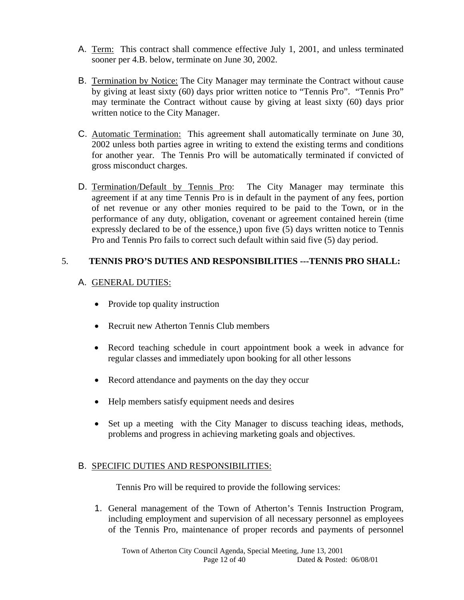- A. Term: This contract shall commence effective July 1, 2001, and unless terminated sooner per 4.B. below, terminate on June 30, 2002.
- B. Termination by Notice: The City Manager may terminate the Contract without cause by giving at least sixty (60) days prior written notice to "Tennis Pro". "Tennis Pro" may terminate the Contract without cause by giving at least sixty (60) days prior written notice to the City Manager.
- C. Automatic Termination: This agreement shall automatically terminate on June 30, 2002 unless both parties agree in writing to extend the existing terms and conditions for another year. The Tennis Pro will be automatically terminated if convicted of gross misconduct charges.
- D. Termination/Default by Tennis Pro: The City Manager may terminate this agreement if at any time Tennis Pro is in default in the payment of any fees, portion of net revenue or any other monies required to be paid to the Town, or in the performance of any duty, obligation, covenant or agreement contained herein (time expressly declared to be of the essence,) upon five (5) days written notice to Tennis Pro and Tennis Pro fails to correct such default within said five (5) day period.

#### 5. **TENNIS PRO'S DUTIES AND RESPONSIBILITIES ---TENNIS PRO SHALL:**

#### A. GENERAL DUTIES:

- Provide top quality instruction
- Recruit new Atherton Tennis Club members
- Record teaching schedule in court appointment book a week in advance for regular classes and immediately upon booking for all other lessons
- Record attendance and payments on the day they occur
- Help members satisfy equipment needs and desires
- Set up a meeting with the City Manager to discuss teaching ideas, methods, problems and progress in achieving marketing goals and objectives.

#### B. SPECIFIC DUTIES AND RESPONSIBILITIES:

Tennis Pro will be required to provide the following services:

1. General management of the Town of Atherton's Tennis Instruction Program, including employment and supervision of all necessary personnel as employees of the Tennis Pro, maintenance of proper records and payments of personnel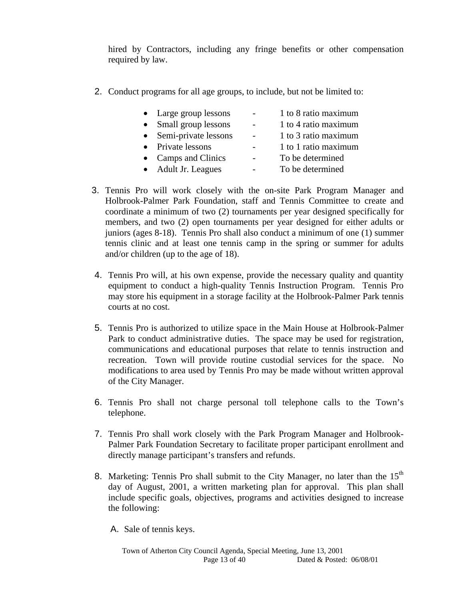hired by Contractors, including any fringe benefits or other compensation required by law.

2. Conduct programs for all age groups, to include, but not be limited to:

| • Large group lessons | 1 to 8 ratio maximum |
|-----------------------|----------------------|
| Small group lessons   | 1 to 4 ratio maximum |
| Semi-private lessons  | 1 to 3 ratio maximum |
| • Private lessons     | 1 to 1 ratio maximum |
| • Camps and Clinics   | To be determined     |
| • Adult Jr. Leagues   | To be determined     |

- 3. Tennis Pro will work closely with the on-site Park Program Manager and Holbrook-Palmer Park Foundation, staff and Tennis Committee to create and coordinate a minimum of two (2) tournaments per year designed specifically for members, and two (2) open tournaments per year designed for either adults or juniors (ages 8-18). Tennis Pro shall also conduct a minimum of one (1) summer tennis clinic and at least one tennis camp in the spring or summer for adults and/or children (up to the age of 18).
- 4. Tennis Pro will, at his own expense, provide the necessary quality and quantity equipment to conduct a high-quality Tennis Instruction Program. Tennis Pro may store his equipment in a storage facility at the Holbrook-Palmer Park tennis courts at no cost.
- 5. Tennis Pro is authorized to utilize space in the Main House at Holbrook-Palmer Park to conduct administrative duties. The space may be used for registration, communications and educational purposes that relate to tennis instruction and recreation. Town will provide routine custodial services for the space. No modifications to area used by Tennis Pro may be made without written approval of the City Manager.
- 6. Tennis Pro shall not charge personal toll telephone calls to the Town's telephone.
- 7. Tennis Pro shall work closely with the Park Program Manager and Holbrook-Palmer Park Foundation Secretary to facilitate proper participant enrollment and directly manage participant's transfers and refunds.
- 8. Marketing: Tennis Pro shall submit to the City Manager, no later than the 15<sup>th</sup> day of August, 2001, a written marketing plan for approval. This plan shall include specific goals, objectives, programs and activities designed to increase the following:
	- A. Sale of tennis keys.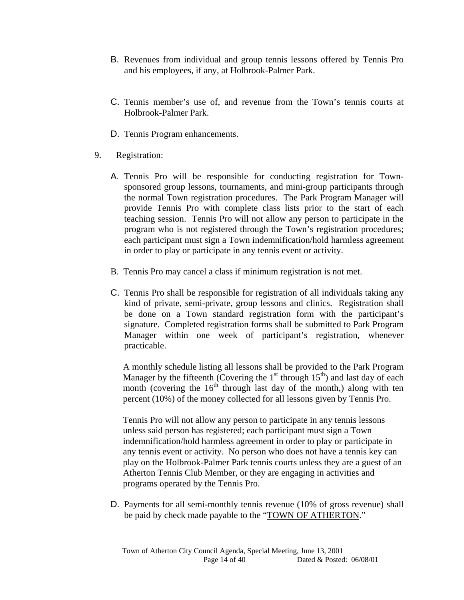- B. Revenues from individual and group tennis lessons offered by Tennis Pro and his employees, if any, at Holbrook-Palmer Park.
- C. Tennis member's use of, and revenue from the Town's tennis courts at Holbrook-Palmer Park.
- D. Tennis Program enhancements.
- 9. Registration:
	- A. Tennis Pro will be responsible for conducting registration for Townsponsored group lessons, tournaments, and mini-group participants through the normal Town registration procedures. The Park Program Manager will provide Tennis Pro with complete class lists prior to the start of each teaching session. Tennis Pro will not allow any person to participate in the program who is not registered through the Town's registration procedures; each participant must sign a Town indemnification/hold harmless agreement in order to play or participate in any tennis event or activity.
	- B. Tennis Pro may cancel a class if minimum registration is not met.
	- C. Tennis Pro shall be responsible for registration of all individuals taking any kind of private, semi-private, group lessons and clinics. Registration shall be done on a Town standard registration form with the participant's signature. Completed registration forms shall be submitted to Park Program Manager within one week of participant's registration, whenever practicable.

A monthly schedule listing all lessons shall be provided to the Park Program Manager by the fifteenth (Covering the  $1<sup>st</sup>$  through  $15<sup>th</sup>$ ) and last day of each month (covering the  $16<sup>th</sup>$  through last day of the month,) along with ten percent (10%) of the money collected for all lessons given by Tennis Pro.

Tennis Pro will not allow any person to participate in any tennis lessons unless said person has registered; each participant must sign a Town indemnification/hold harmless agreement in order to play or participate in any tennis event or activity. No person who does not have a tennis key can play on the Holbrook-Palmer Park tennis courts unless they are a guest of an Atherton Tennis Club Member, or they are engaging in activities and programs operated by the Tennis Pro.

D. Payments for all semi-monthly tennis revenue (10% of gross revenue) shall be paid by check made payable to the "TOWN OF ATHERTON."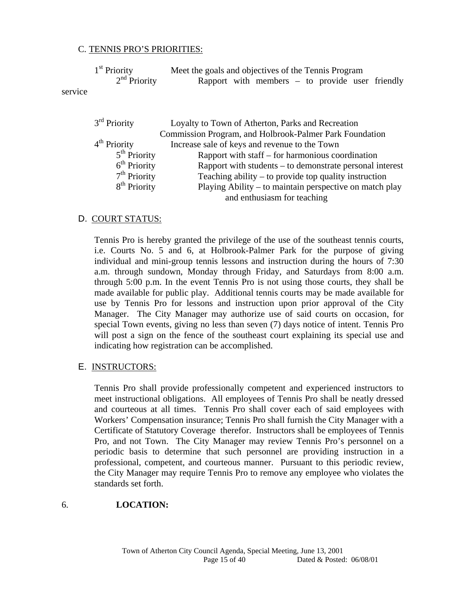#### C. TENNIS PRO'S PRIORITIES:

|            | $1st$ Priority | Meet the goals and objectives of the Tennis Program |                                                   |  |  |  |
|------------|----------------|-----------------------------------------------------|---------------------------------------------------|--|--|--|
|            | $2nd$ Priority |                                                     | Rapport with members $-$ to provide user friendly |  |  |  |
| $c$ $arvi$ |                |                                                     |                                                   |  |  |  |

service

| $3rd$ Priority           | Loyalty to Town of Atherton, Parks and Recreation        |
|--------------------------|----------------------------------------------------------|
|                          | Commission Program, and Holbrook-Palmer Park Foundation  |
| $4th$ Priority           | Increase sale of keys and revenue to the Town            |
| $5th$ Priority           | Rapport with staff – for harmonious coordination         |
| $6th$ Priority           | Rapport with students – to demonstrate personal interest |
| $7th$ Priority           | Teaching ability $-$ to provide top quality instruction  |
| 8 <sup>th</sup> Priority | Playing Ability – to maintain perspective on match play  |
|                          | and enthusiasm for teaching                              |

#### D. COURT STATUS:

Tennis Pro is hereby granted the privilege of the use of the southeast tennis courts, i.e. Courts No. 5 and 6, at Holbrook-Palmer Park for the purpose of giving individual and mini-group tennis lessons and instruction during the hours of 7:30 a.m. through sundown, Monday through Friday, and Saturdays from 8:00 a.m. through 5:00 p.m. In the event Tennis Pro is not using those courts, they shall be made available for public play. Additional tennis courts may be made available for use by Tennis Pro for lessons and instruction upon prior approval of the City Manager. The City Manager may authorize use of said courts on occasion, for special Town events, giving no less than seven (7) days notice of intent. Tennis Pro will post a sign on the fence of the southeast court explaining its special use and indicating how registration can be accomplished.

#### E. INSTRUCTORS:

Tennis Pro shall provide professionally competent and experienced instructors to meet instructional obligations. All employees of Tennis Pro shall be neatly dressed and courteous at all times. Tennis Pro shall cover each of said employees with Workers' Compensation insurance; Tennis Pro shall furnish the City Manager with a Certificate of Statutory Coverage therefor. Instructors shall be employees of Tennis Pro, and not Town. The City Manager may review Tennis Pro's personnel on a periodic basis to determine that such personnel are providing instruction in a professional, competent, and courteous manner. Pursuant to this periodic review, the City Manager may require Tennis Pro to remove any employee who violates the standards set forth.

#### 6. **LOCATION:**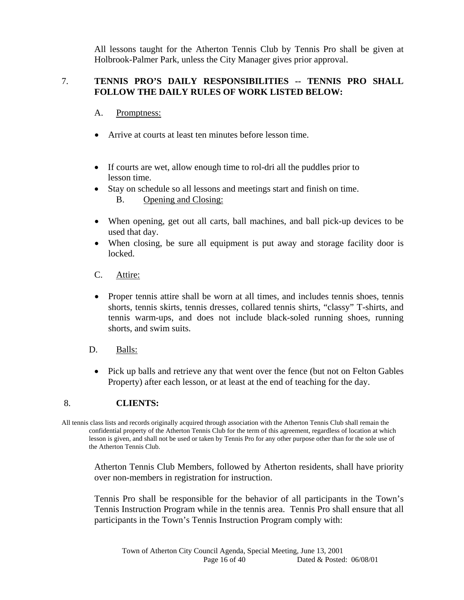All lessons taught for the Atherton Tennis Club by Tennis Pro shall be given at Holbrook-Palmer Park, unless the City Manager gives prior approval.

#### 7. **TENNIS PRO'S DAILY RESPONSIBILITIES -- TENNIS PRO SHALL FOLLOW THE DAILY RULES OF WORK LISTED BELOW:**

#### A. Promptness:

- Arrive at courts at least ten minutes before lesson time.
- If courts are wet, allow enough time to rol-dri all the puddles prior to lesson time.
- Stay on schedule so all lessons and meetings start and finish on time. B. Opening and Closing:
- When opening, get out all carts, ball machines, and ball pick-up devices to be used that day.
- When closing, be sure all equipment is put away and storage facility door is locked.

#### C. Attire:

- Proper tennis attire shall be worn at all times, and includes tennis shoes, tennis shorts, tennis skirts, tennis dresses, collared tennis shirts, "classy" T-shirts, and tennis warm-ups, and does not include black-soled running shoes, running shorts, and swim suits.
- D. Balls:
	- Pick up balls and retrieve any that went over the fence (but not on Felton Gables Property) after each lesson, or at least at the end of teaching for the day.

#### 8. **CLIENTS:**

All tennis class lists and records originally acquired through association with the Atherton Tennis Club shall remain the confidential property of the Atherton Tennis Club for the term of this agreement, regardless of location at which lesson is given, and shall not be used or taken by Tennis Pro for any other purpose other than for the sole use of the Atherton Tennis Club.

Atherton Tennis Club Members, followed by Atherton residents, shall have priority over non-members in registration for instruction.

Tennis Pro shall be responsible for the behavior of all participants in the Town's Tennis Instruction Program while in the tennis area. Tennis Pro shall ensure that all participants in the Town's Tennis Instruction Program comply with: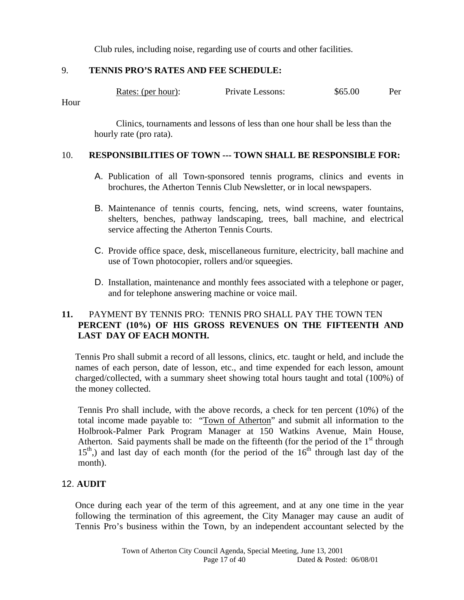Club rules, including noise, regarding use of courts and other facilities.

#### 9. **TENNIS PRO'S RATES AND FEE SCHEDULE:**

| Rates: (per hour): | Private Lessons: | \$65.00 | Per |
|--------------------|------------------|---------|-----|
|--------------------|------------------|---------|-----|

Hour

 Clinics, tournaments and lessons of less than one hour shall be less than the hourly rate (pro rata).

#### 10. **RESPONSIBILITIES OF TOWN --- TOWN SHALL BE RESPONSIBLE FOR:**

- A. Publication of all Town-sponsored tennis programs, clinics and events in brochures, the Atherton Tennis Club Newsletter, or in local newspapers.
- B. Maintenance of tennis courts, fencing, nets, wind screens, water fountains, shelters, benches, pathway landscaping, trees, ball machine, and electrical service affecting the Atherton Tennis Courts.
- C. Provide office space, desk, miscellaneous furniture, electricity, ball machine and use of Town photocopier, rollers and/or squeegies.
- D. Installation, maintenance and monthly fees associated with a telephone or pager, and for telephone answering machine or voice mail.

### **11.** PAYMENT BY TENNIS PRO: TENNIS PRO SHALL PAY THE TOWN TEN **PERCENT (10%) OF HIS GROSS REVENUES ON THE FIFTEENTH AND LAST DAY OF EACH MONTH.**

Tennis Pro shall submit a record of all lessons, clinics, etc. taught or held, and include the names of each person, date of lesson, etc., and time expended for each lesson, amount charged/collected, with a summary sheet showing total hours taught and total (100%) of the money collected.

Tennis Pro shall include, with the above records, a check for ten percent (10%) of the total income made payable to: "Town of Atherton" and submit all information to the Holbrook-Palmer Park Program Manager at 150 Watkins Avenue, Main House, Atherton. Said payments shall be made on the fifteenth (for the period of the  $1<sup>st</sup>$  through  $15<sup>th</sup>$ ) and last day of each month (for the period of the  $16<sup>th</sup>$  through last day of the month).

#### 12. **AUDIT**

Once during each year of the term of this agreement, and at any one time in the year following the termination of this agreement, the City Manager may cause an audit of Tennis Pro's business within the Town, by an independent accountant selected by the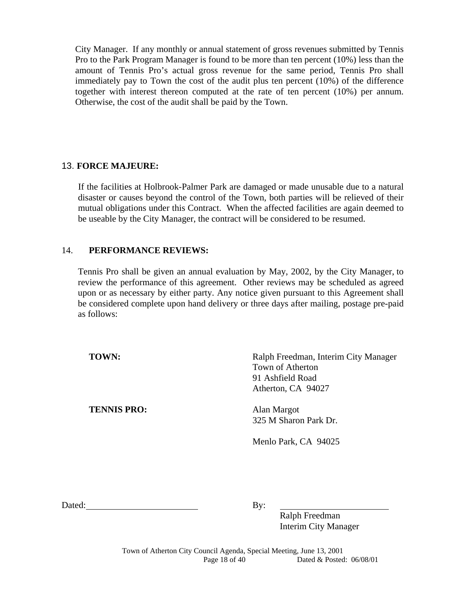City Manager. If any monthly or annual statement of gross revenues submitted by Tennis Pro to the Park Program Manager is found to be more than ten percent (10%) less than the amount of Tennis Pro's actual gross revenue for the same period, Tennis Pro shall immediately pay to Town the cost of the audit plus ten percent (10%) of the difference together with interest thereon computed at the rate of ten percent (10%) per annum. Otherwise, the cost of the audit shall be paid by the Town.

#### 13. **FORCE MAJEURE:**

If the facilities at Holbrook-Palmer Park are damaged or made unusable due to a natural disaster or causes beyond the control of the Town, both parties will be relieved of their mutual obligations under this Contract. When the affected facilities are again deemed to be useable by the City Manager, the contract will be considered to be resumed.

#### 14. **PERFORMANCE REVIEWS:**

Tennis Pro shall be given an annual evaluation by May, 2002, by the City Manager, to review the performance of this agreement. Other reviews may be scheduled as agreed upon or as necessary by either party. Any notice given pursuant to this Agreement shall be considered complete upon hand delivery or three days after mailing, postage pre-paid as follows:

**TENNIS PRO:** Alan Margot

**TOWN:** Ralph Freedman, Interim City Manager Town of Atherton 91 Ashfield Road Atherton, CA 94027

325 M Sharon Park Dr.

Menlo Park, CA 94025

Dated: By:

 Ralph Freedman Interim City Manager

Town of Atherton City Council Agenda, Special Meeting, June 13, 2001 Page 18 of 40 Dated & Posted: 06/08/01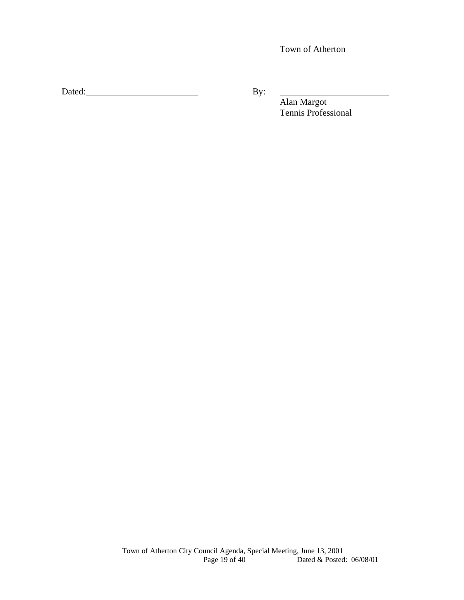Town of Atherton

Dated: By:

 Alan Margot Tennis Professional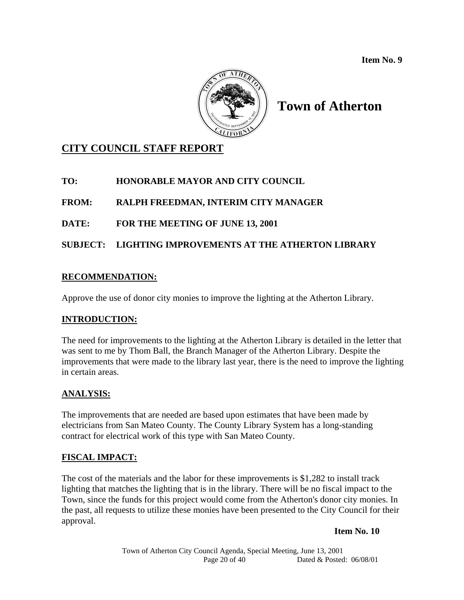**Item No. 9** 



# **Town of Atherton**

### **CITY COUNCIL STAFF REPORT**

### **TO: HONORABLE MAYOR AND CITY COUNCIL**

**FROM: RALPH FREEDMAN, INTERIM CITY MANAGER** 

### **DATE: FOR THE MEETING OF JUNE 13, 2001**

### **SUBJECT: LIGHTING IMPROVEMENTS AT THE ATHERTON LIBRARY**

### **RECOMMENDATION:**

Approve the use of donor city monies to improve the lighting at the Atherton Library.

### **INTRODUCTION:**

The need for improvements to the lighting at the Atherton Library is detailed in the letter that was sent to me by Thom Ball, the Branch Manager of the Atherton Library. Despite the improvements that were made to the library last year, there is the need to improve the lighting in certain areas.

#### **ANALYSIS:**

The improvements that are needed are based upon estimates that have been made by electricians from San Mateo County. The County Library System has a long-standing contract for electrical work of this type with San Mateo County.

#### **FISCAL IMPACT:**

The cost of the materials and the labor for these improvements is \$1,282 to install track lighting that matches the lighting that is in the library. There will be no fiscal impact to the Town, since the funds for this project would come from the Atherton's donor city monies. In the past, all requests to utilize these monies have been presented to the City Council for their approval.

#### **Item No. 10**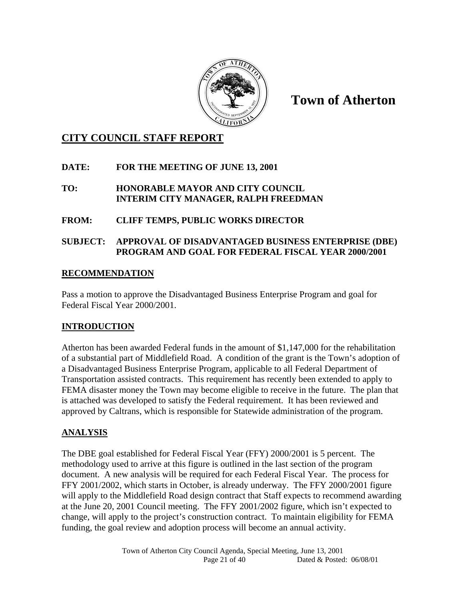

**Town of Atherton** 

### **CITY COUNCIL STAFF REPORT**

### **DATE: FOR THE MEETING OF JUNE 13, 2001**

#### **TO: HONORABLE MAYOR AND CITY COUNCIL INTERIM CITY MANAGER, RALPH FREEDMAN**

### **FROM: CLIFF TEMPS, PUBLIC WORKS DIRECTOR**

### **SUBJECT: APPROVAL OF DISADVANTAGED BUSINESS ENTERPRISE (DBE) PROGRAM AND GOAL FOR FEDERAL FISCAL YEAR 2000/2001**

### **RECOMMENDATION**

Pass a motion to approve the Disadvantaged Business Enterprise Program and goal for Federal Fiscal Year 2000/2001.

### **INTRODUCTION**

Atherton has been awarded Federal funds in the amount of \$1,147,000 for the rehabilitation of a substantial part of Middlefield Road. A condition of the grant is the Town's adoption of a Disadvantaged Business Enterprise Program, applicable to all Federal Department of Transportation assisted contracts. This requirement has recently been extended to apply to FEMA disaster money the Town may become eligible to receive in the future. The plan that is attached was developed to satisfy the Federal requirement. It has been reviewed and approved by Caltrans, which is responsible for Statewide administration of the program.

### **ANALYSIS**

The DBE goal established for Federal Fiscal Year (FFY) 2000/2001 is 5 percent. The methodology used to arrive at this figure is outlined in the last section of the program document. A new analysis will be required for each Federal Fiscal Year. The process for FFY 2001/2002, which starts in October, is already underway. The FFY 2000/2001 figure will apply to the Middlefield Road design contract that Staff expects to recommend awarding at the June 20, 2001 Council meeting. The FFY 2001/2002 figure, which isn't expected to change, will apply to the project's construction contract. To maintain eligibility for FEMA funding, the goal review and adoption process will become an annual activity.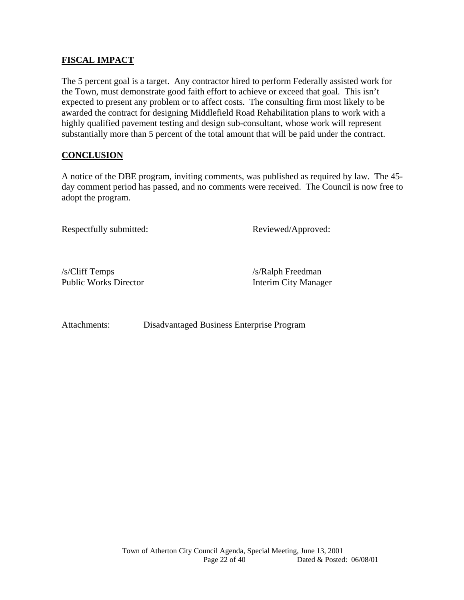#### **FISCAL IMPACT**

The 5 percent goal is a target. Any contractor hired to perform Federally assisted work for the Town, must demonstrate good faith effort to achieve or exceed that goal. This isn't expected to present any problem or to affect costs. The consulting firm most likely to be awarded the contract for designing Middlefield Road Rehabilitation plans to work with a highly qualified pavement testing and design sub-consultant, whose work will represent substantially more than 5 percent of the total amount that will be paid under the contract.

#### **CONCLUSION**

A notice of the DBE program, inviting comments, was published as required by law. The 45 day comment period has passed, and no comments were received. The Council is now free to adopt the program.

Respectfully submitted: Reviewed/Approved:

/s/Cliff Temps /s/Ralph Freedman Public Works Director **Interim City Manager** 

Attachments: Disadvantaged Business Enterprise Program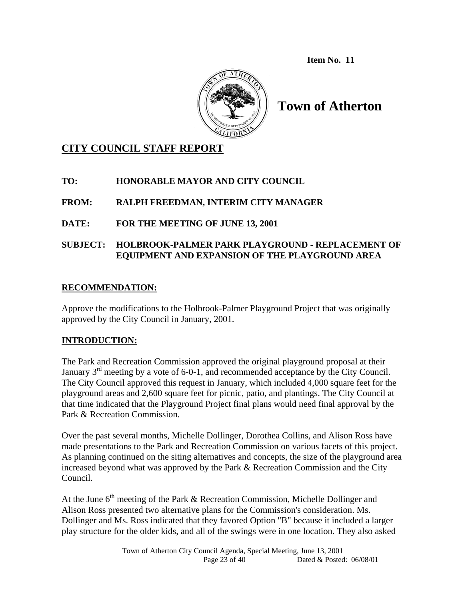**Item No. 11** 



**Town of Atherton** 

### **CITY COUNCIL STAFF REPORT**

### **TO: HONORABLE MAYOR AND CITY COUNCIL**

### **FROM: RALPH FREEDMAN, INTERIM CITY MANAGER**

### **DATE: FOR THE MEETING OF JUNE 13, 2001**

### **SUBJECT: HOLBROOK-PALMER PARK PLAYGROUND - REPLACEMENT OF EQUIPMENT AND EXPANSION OF THE PLAYGROUND AREA**

### **RECOMMENDATION:**

Approve the modifications to the Holbrook-Palmer Playground Project that was originally approved by the City Council in January, 2001.

#### **INTRODUCTION:**

The Park and Recreation Commission approved the original playground proposal at their January  $3<sup>rd</sup>$  meeting by a vote of 6-0-1, and recommended acceptance by the City Council. The City Council approved this request in January, which included 4,000 square feet for the playground areas and 2,600 square feet for picnic, patio, and plantings. The City Council at that time indicated that the Playground Project final plans would need final approval by the Park & Recreation Commission.

Over the past several months, Michelle Dollinger, Dorothea Collins, and Alison Ross have made presentations to the Park and Recreation Commission on various facets of this project. As planning continued on the siting alternatives and concepts, the size of the playground area increased beyond what was approved by the Park & Recreation Commission and the City Council.

At the June  $6<sup>th</sup>$  meeting of the Park & Recreation Commission, Michelle Dollinger and Alison Ross presented two alternative plans for the Commission's consideration. Ms. Dollinger and Ms. Ross indicated that they favored Option "B" because it included a larger play structure for the older kids, and all of the swings were in one location. They also asked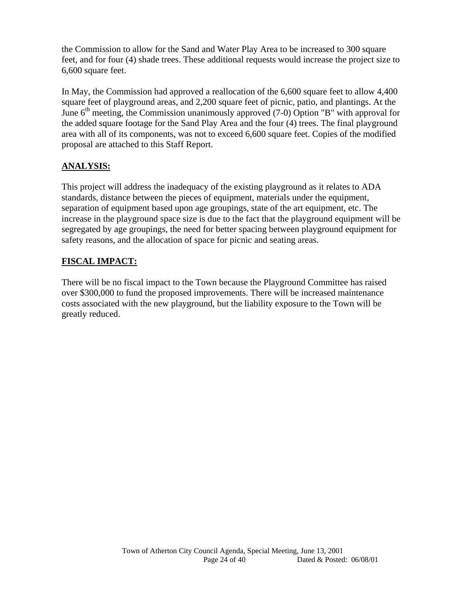the Commission to allow for the Sand and Water Play Area to be increased to 300 square feet, and for four (4) shade trees. These additional requests would increase the project size to 6,600 square feet.

In May, the Commission had approved a reallocation of the 6,600 square feet to allow 4,400 square feet of playground areas, and 2,200 square feet of picnic, patio, and plantings. At the June  $6<sup>th</sup>$  meeting, the Commission unanimously approved (7-0) Option "B" with approval for the added square footage for the Sand Play Area and the four (4) trees. The final playground area with all of its components, was not to exceed 6,600 square feet. Copies of the modified proposal are attached to this Staff Report.

### **ANALYSIS:**

This project will address the inadequacy of the existing playground as it relates to ADA standards, distance between the pieces of equipment, materials under the equipment, separation of equipment based upon age groupings, state of the art equipment, etc. The increase in the playground space size is due to the fact that the playground equipment will be segregated by age groupings, the need for better spacing between playground equipment for safety reasons, and the allocation of space for picnic and seating areas.

### **FISCAL IMPACT:**

There will be no fiscal impact to the Town because the Playground Committee has raised over \$300,000 to fund the proposed improvements. There will be increased maintenance costs associated with the new playground, but the liability exposure to the Town will be greatly reduced.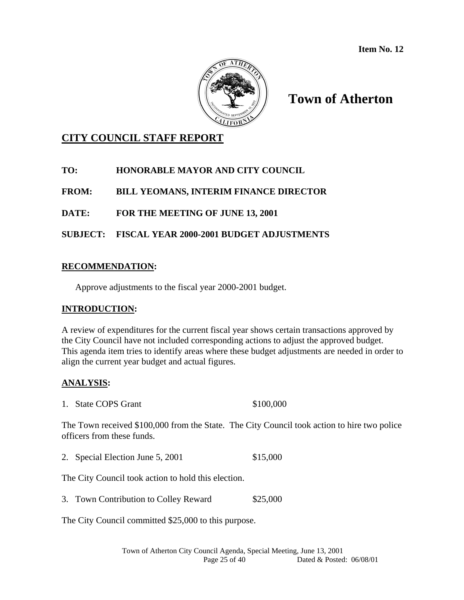

# **Town of Atherton**

### **CITY COUNCIL STAFF REPORT**

### **TO: HONORABLE MAYOR AND CITY COUNCIL**

**FROM: BILL YEOMANS, INTERIM FINANCE DIRECTOR** 

**DATE: FOR THE MEETING OF JUNE 13, 2001** 

#### **SUBJECT: FISCAL YEAR 2000-2001 BUDGET ADJUSTMENTS**

#### **RECOMMENDATION:**

Approve adjustments to the fiscal year 2000-2001 budget.

#### **INTRODUCTION:**

A review of expenditures for the current fiscal year shows certain transactions approved by the City Council have not included corresponding actions to adjust the approved budget. This agenda item tries to identify areas where these budget adjustments are needed in order to align the current year budget and actual figures.

#### **ANALYSIS:**

1. State COPS Grant \$100,000

The Town received \$100,000 from the State. The City Council took action to hire two police officers from these funds.

2. Special Election June 5, 2001 \$15,000

The City Council took action to hold this election.

3. Town Contribution to Colley Reward \$25,000

The City Council committed \$25,000 to this purpose.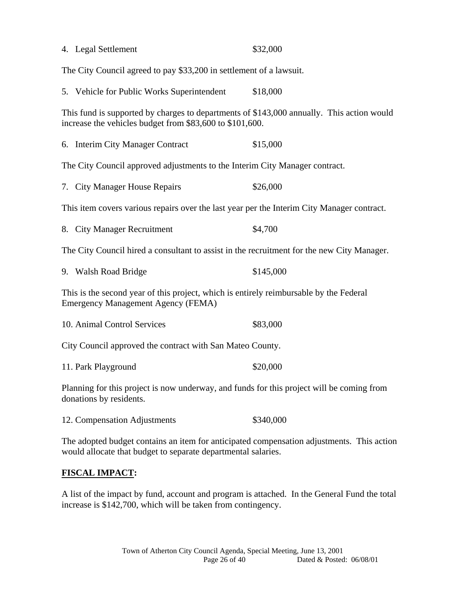| 4. Legal Settlement                                                                                                                                        | \$32,000  |
|------------------------------------------------------------------------------------------------------------------------------------------------------------|-----------|
| The City Council agreed to pay \$33,200 in settlement of a lawsuit.                                                                                        |           |
| 5. Vehicle for Public Works Superintendent                                                                                                                 | \$18,000  |
| This fund is supported by charges to departments of \$143,000 annually. This action would<br>increase the vehicles budget from \$83,600 to \$101,600.      |           |
| 6. Interim City Manager Contract                                                                                                                           | \$15,000  |
| The City Council approved adjustments to the Interim City Manager contract.                                                                                |           |
| 7. City Manager House Repairs                                                                                                                              | \$26,000  |
| This item covers various repairs over the last year per the Interim City Manager contract.                                                                 |           |
| 8. City Manager Recruitment                                                                                                                                | \$4,700   |
| The City Council hired a consultant to assist in the recruitment for the new City Manager.                                                                 |           |
| 9. Walsh Road Bridge                                                                                                                                       | \$145,000 |
| This is the second year of this project, which is entirely reimbursable by the Federal<br><b>Emergency Management Agency (FEMA)</b>                        |           |
| 10. Animal Control Services                                                                                                                                | \$83,000  |
| City Council approved the contract with San Mateo County.                                                                                                  |           |
| 11. Park Playground                                                                                                                                        | \$20,000  |
| Planning for this project is now underway, and funds for this project will be coming from<br>donations by residents.                                       |           |
| 12. Compensation Adjustments                                                                                                                               | \$340,000 |
| The adopted budget contains an item for anticipated compensation adjustments. This action<br>would allocate that budget to separate departmental salaries. |           |
| <b>FISCAL IMPACT:</b>                                                                                                                                      |           |

A list of the impact by fund, account and program is attached. In the General Fund the total increase is \$142,700, which will be taken from contingency.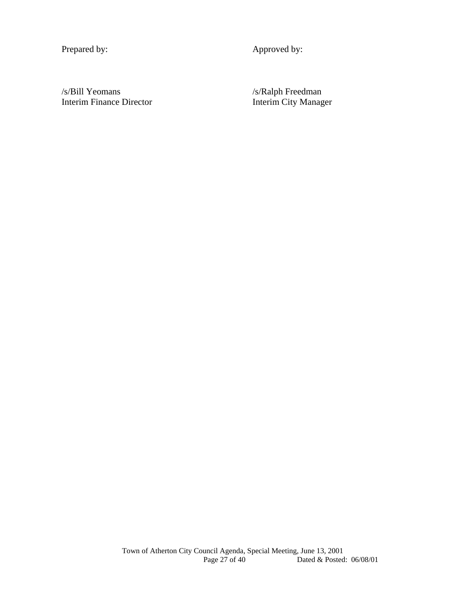Prepared by: Approved by:

/s/Bill Yeomans /s/Ralph Freedman<br>Interim Finance Director 11.1 Interim City Manag

Interim City Manager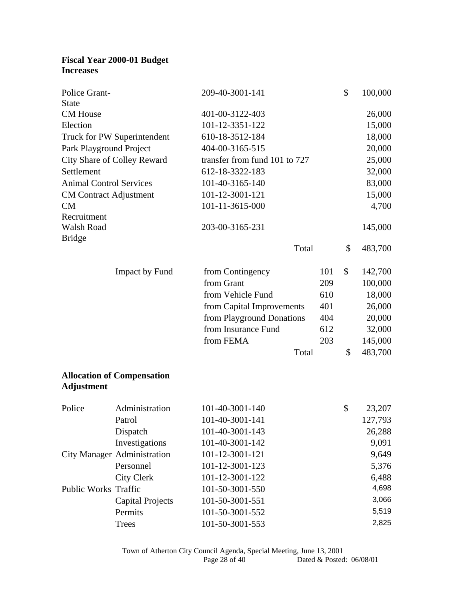### **Fiscal Year 2000-01 Budget Increases**

| Police Grant-                  |                                    | 209-40-3001-141                    |       | \$<br>100,000 |
|--------------------------------|------------------------------------|------------------------------------|-------|---------------|
| <b>State</b>                   |                                    |                                    |       |               |
| <b>CM</b> House                |                                    | 401-00-3122-403                    |       | 26,000        |
| Election                       |                                    | 101-12-3351-122                    |       | 15,000        |
|                                | Truck for PW Superintendent        | 610-18-3512-184                    |       | 18,000        |
| Park Playground Project        |                                    | 404-00-3165-515                    |       | 20,000        |
|                                | City Share of Colley Reward        | transfer from fund 101 to 727      |       | 25,000        |
| Settlement                     |                                    | 612-18-3322-183                    |       | 32,000        |
| <b>Animal Control Services</b> |                                    | 101-40-3165-140                    |       | 83,000        |
| <b>CM Contract Adjustment</b>  |                                    | 101-12-3001-121                    |       | 15,000        |
| CM                             |                                    | 101-11-3615-000                    |       | 4,700         |
| Recruitment                    |                                    |                                    |       |               |
| Walsh Road                     |                                    | 203-00-3165-231                    |       | 145,000       |
| <b>Bridge</b>                  |                                    |                                    |       |               |
|                                |                                    |                                    | Total | \$<br>483,700 |
|                                | Impact by Fund                     | from Contingency                   | 101   | \$<br>142,700 |
|                                |                                    | from Grant                         | 209   | 100,000       |
|                                |                                    | from Vehicle Fund                  | 610   | 18,000        |
|                                |                                    | from Capital Improvements          | 401   | 26,000        |
|                                |                                    | from Playground Donations          | 404   | 20,000        |
|                                |                                    | from Insurance Fund                | 612   | 32,000        |
|                                |                                    | from FEMA                          | 203   | 145,000       |
|                                |                                    |                                    | Total | \$<br>483,700 |
|                                |                                    |                                    |       |               |
| <b>Adjustment</b>              | <b>Allocation of Compensation</b>  |                                    |       |               |
| Police                         | Administration                     | 101-40-3001-140                    |       | \$<br>23,207  |
|                                | Patrol                             | 101-40-3001-141                    |       | 127,793       |
|                                | Dispatch                           | 101-40-3001-143                    |       | 26,288        |
|                                | Investigations                     | 101-40-3001-142                    |       | 9,091         |
|                                | <b>City Manager Administration</b> | 101-12-3001-121                    |       | 9,649         |
|                                | Personnel                          | 101-12-3001-123                    |       | 5,376         |
|                                | <b>City Clerk</b>                  | 101-12-3001-122                    |       | 6,488         |
| Public Works Traffic           |                                    | 101-50-3001-550                    |       | 4,698         |
|                                |                                    |                                    |       | 3,066         |
|                                | Permits                            |                                    |       | 5,519         |
|                                | <b>Capital Projects</b>            | 101-50-3001-551<br>101-50-3001-552 |       |               |

Trees 101-50-3001-553 2,825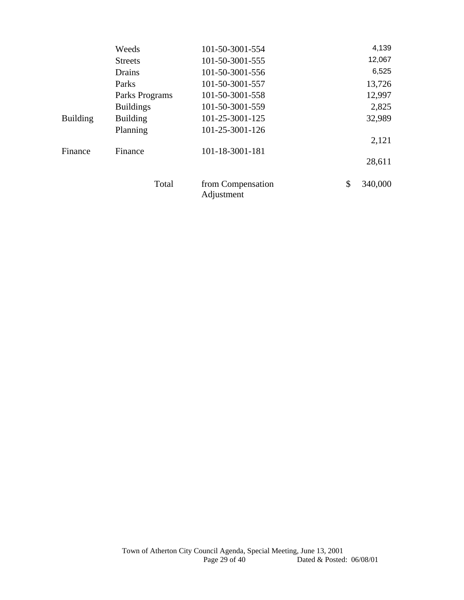|                 | Weeds            | 101-50-3001-554                 | 4,139         |
|-----------------|------------------|---------------------------------|---------------|
|                 | <b>Streets</b>   | 101-50-3001-555                 | 12,067        |
|                 | Drains           | 101-50-3001-556                 | 6,525         |
|                 | Parks            | 101-50-3001-557                 | 13,726        |
|                 | Parks Programs   | 101-50-3001-558                 | 12,997        |
|                 | <b>Buildings</b> | 101-50-3001-559                 | 2,825         |
| <b>Building</b> | <b>Building</b>  | 101-25-3001-125                 | 32,989        |
|                 | Planning         | 101-25-3001-126                 |               |
|                 |                  |                                 | 2,121         |
| Finance         | Finance          | 101-18-3001-181                 |               |
|                 |                  |                                 | 28,611        |
|                 | Total            | from Compensation<br>Adjustment | \$<br>340,000 |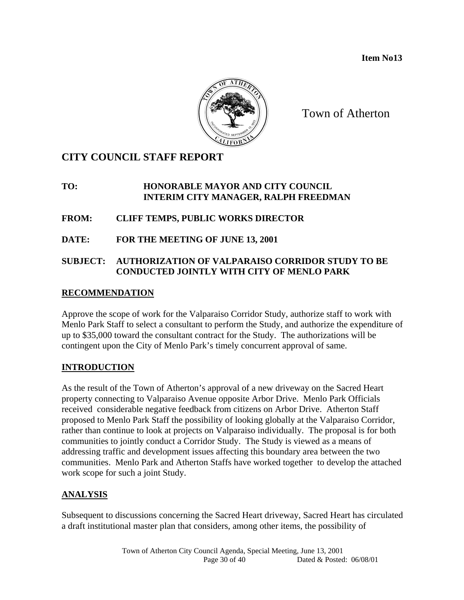**Item No13** 



Town of Atherton

## **CITY COUNCIL STAFF REPORT**

#### **TO: HONORABLE MAYOR AND CITY COUNCIL INTERIM CITY MANAGER, RALPH FREEDMAN**

**FROM: CLIFF TEMPS, PUBLIC WORKS DIRECTOR** 

**DATE: FOR THE MEETING OF JUNE 13, 2001** 

### **SUBJECT: AUTHORIZATION OF VALPARAISO CORRIDOR STUDY TO BE CONDUCTED JOINTLY WITH CITY OF MENLO PARK**

### **RECOMMENDATION**

Approve the scope of work for the Valparaiso Corridor Study, authorize staff to work with Menlo Park Staff to select a consultant to perform the Study, and authorize the expenditure of up to \$35,000 toward the consultant contract for the Study. The authorizations will be contingent upon the City of Menlo Park's timely concurrent approval of same.

### **INTRODUCTION**

As the result of the Town of Atherton's approval of a new driveway on the Sacred Heart property connecting to Valparaiso Avenue opposite Arbor Drive. Menlo Park Officials received considerable negative feedback from citizens on Arbor Drive. Atherton Staff proposed to Menlo Park Staff the possibility of looking globally at the Valparaiso Corridor, rather than continue to look at projects on Valparaiso individually. The proposal is for both communities to jointly conduct a Corridor Study. The Study is viewed as a means of addressing traffic and development issues affecting this boundary area between the two communities. Menlo Park and Atherton Staffs have worked together to develop the attached work scope for such a joint Study.

### **ANALYSIS**

Subsequent to discussions concerning the Sacred Heart driveway, Sacred Heart has circulated a draft institutional master plan that considers, among other items, the possibility of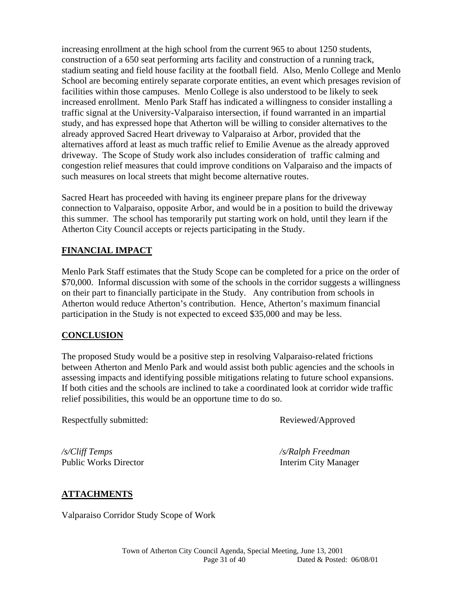increasing enrollment at the high school from the current 965 to about 1250 students, construction of a 650 seat performing arts facility and construction of a running track, stadium seating and field house facility at the football field. Also, Menlo College and Menlo School are becoming entirely separate corporate entities, an event which presages revision of facilities within those campuses. Menlo College is also understood to be likely to seek increased enrollment. Menlo Park Staff has indicated a willingness to consider installing a traffic signal at the University-Valparaiso intersection, if found warranted in an impartial study, and has expressed hope that Atherton will be willing to consider alternatives to the already approved Sacred Heart driveway to Valparaiso at Arbor, provided that the alternatives afford at least as much traffic relief to Emilie Avenue as the already approved driveway. The Scope of Study work also includes consideration of traffic calming and congestion relief measures that could improve conditions on Valparaiso and the impacts of such measures on local streets that might become alternative routes.

Sacred Heart has proceeded with having its engineer prepare plans for the driveway connection to Valparaiso, opposite Arbor, and would be in a position to build the driveway this summer. The school has temporarily put starting work on hold, until they learn if the Atherton City Council accepts or rejects participating in the Study.

### **FINANCIAL IMPACT**

Menlo Park Staff estimates that the Study Scope can be completed for a price on the order of \$70,000. Informal discussion with some of the schools in the corridor suggests a willingness on their part to financially participate in the Study. Any contribution from schools in Atherton would reduce Atherton's contribution. Hence, Atherton's maximum financial participation in the Study is not expected to exceed \$35,000 and may be less.

#### **CONCLUSION**

The proposed Study would be a positive step in resolving Valparaiso-related frictions between Atherton and Menlo Park and would assist both public agencies and the schools in assessing impacts and identifying possible mitigations relating to future school expansions. If both cities and the schools are inclined to take a coordinated look at corridor wide traffic relief possibilities, this would be an opportune time to do so.

Respectfully submitted: Reviewed/Approved

*/s/Cliff Temps /s/Ralph Freedman*  Public Works Director **Interim City Manager** 

#### **ATTACHMENTS**

Valparaiso Corridor Study Scope of Work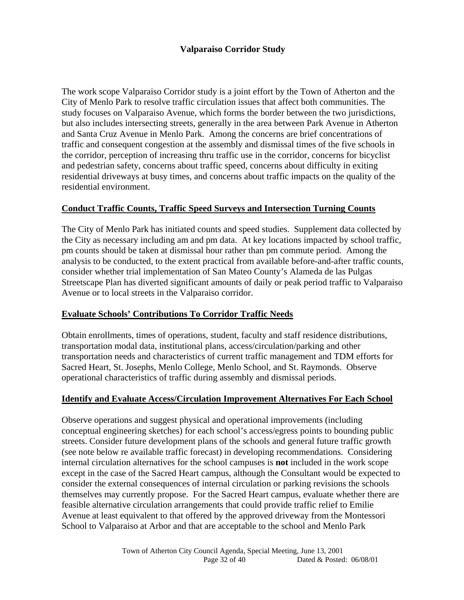#### **Valparaiso Corridor Study**

The work scope Valparaiso Corridor study is a joint effort by the Town of Atherton and the City of Menlo Park to resolve traffic circulation issues that affect both communities. The study focuses on Valparaiso Avenue, which forms the border between the two jurisdictions, but also includes intersecting streets, generally in the area between Park Avenue in Atherton and Santa Cruz Avenue in Menlo Park. Among the concerns are brief concentrations of traffic and consequent congestion at the assembly and dismissal times of the five schools in the corridor, perception of increasing thru traffic use in the corridor, concerns for bicyclist and pedestrian safety, concerns about traffic speed, concerns about difficulty in exiting residential driveways at busy times, and concerns about traffic impacts on the quality of the residential environment.

#### **Conduct Traffic Counts, Traffic Speed Surveys and Intersection Turning Counts**

The City of Menlo Park has initiated counts and speed studies. Supplement data collected by the City as necessary including am and pm data. At key locations impacted by school traffic, pm counts should be taken at dismissal hour rather than pm commute period. Among the analysis to be conducted, to the extent practical from available before-and-after traffic counts, consider whether trial implementation of San Mateo County's Alameda de las Pulgas Streetscape Plan has diverted significant amounts of daily or peak period traffic to Valparaiso Avenue or to local streets in the Valparaiso corridor.

#### **Evaluate Schools' Contributions To Corridor Traffic Needs**

Obtain enrollments, times of operations, student, faculty and staff residence distributions, transportation modal data, institutional plans, access/circulation/parking and other transportation needs and characteristics of current traffic management and TDM efforts for Sacred Heart, St. Josephs, Menlo College, Menlo School, and St. Raymonds. Observe operational characteristics of traffic during assembly and dismissal periods.

#### **Identify and Evaluate Access/Circulation Improvement Alternatives For Each School**

Observe operations and suggest physical and operational improvements (including conceptual engineering sketches) for each school's access/egress points to bounding public streets. Consider future development plans of the schools and general future traffic growth (see note below re available traffic forecast) in developing recommendations. Considering internal circulation alternatives for the school campuses is **not** included in the work scope except in the case of the Sacred Heart campus, although the Consultant would be expected to consider the external consequences of internal circulation or parking revisions the schools themselves may currently propose. For the Sacred Heart campus, evaluate whether there are feasible alternative circulation arrangements that could provide traffic relief to Emilie Avenue at least equivalent to that offered by the approved driveway from the Montessori School to Valparaiso at Arbor and that are acceptable to the school and Menlo Park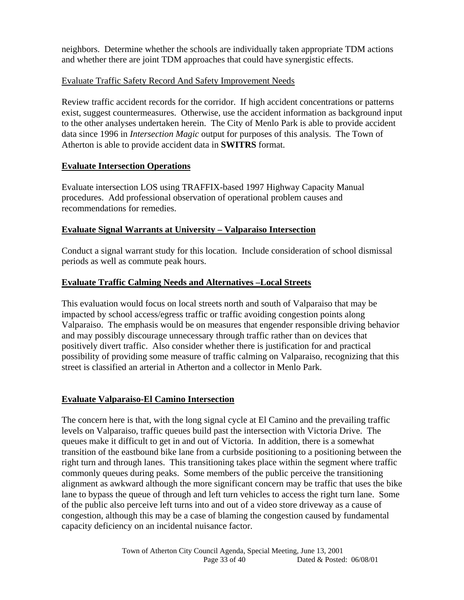neighbors. Determine whether the schools are individually taken appropriate TDM actions and whether there are joint TDM approaches that could have synergistic effects.

#### Evaluate Traffic Safety Record And Safety Improvement Needs

Review traffic accident records for the corridor. If high accident concentrations or patterns exist, suggest countermeasures. Otherwise, use the accident information as background input to the other analyses undertaken herein. The City of Menlo Park is able to provide accident data since 1996 in *Intersection Magic* output for purposes of this analysis. The Town of Atherton is able to provide accident data in **SWITRS** format.

#### **Evaluate Intersection Operations**

Evaluate intersection LOS using TRAFFIX-based 1997 Highway Capacity Manual procedures. Add professional observation of operational problem causes and recommendations for remedies.

### **Evaluate Signal Warrants at University – Valparaiso Intersection**

Conduct a signal warrant study for this location. Include consideration of school dismissal periods as well as commute peak hours.

### **Evaluate Traffic Calming Needs and Alternatives –Local Streets**

This evaluation would focus on local streets north and south of Valparaiso that may be impacted by school access/egress traffic or traffic avoiding congestion points along Valparaiso. The emphasis would be on measures that engender responsible driving behavior and may possibly discourage unnecessary through traffic rather than on devices that positively divert traffic. Also consider whether there is justification for and practical possibility of providing some measure of traffic calming on Valparaiso, recognizing that this street is classified an arterial in Atherton and a collector in Menlo Park.

#### **Evaluate Valparaiso-El Camino Intersection**

The concern here is that, with the long signal cycle at El Camino and the prevailing traffic levels on Valparaiso, traffic queues build past the intersection with Victoria Drive. The queues make it difficult to get in and out of Victoria. In addition, there is a somewhat transition of the eastbound bike lane from a curbside positioning to a positioning between the right turn and through lanes. This transitioning takes place within the segment where traffic commonly queues during peaks. Some members of the public perceive the transitioning alignment as awkward although the more significant concern may be traffic that uses the bike lane to bypass the queue of through and left turn vehicles to access the right turn lane. Some of the public also perceive left turns into and out of a video store driveway as a cause of congestion, although this may be a case of blaming the congestion caused by fundamental capacity deficiency on an incidental nuisance factor.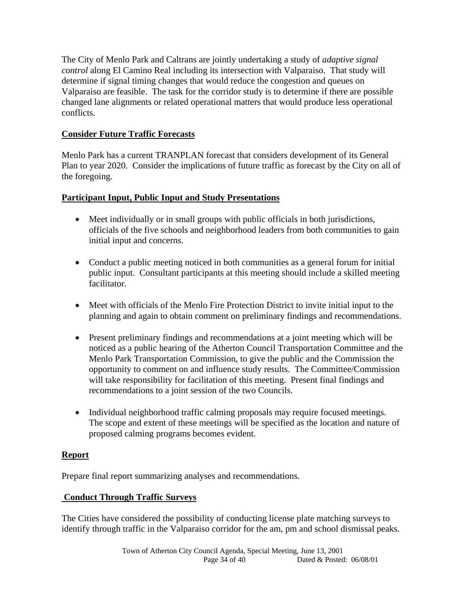The City of Menlo Park and Caltrans are jointly undertaking a study of *adaptive signal control* along El Camino Real including its intersection with Valparaiso. That study will determine if signal timing changes that would reduce the congestion and queues on Valparaiso are feasible. The task for the corridor study is to determine if there are possible changed lane alignments or related operational matters that would produce less operational conflicts.

### **Consider Future Traffic Forecasts**

Menlo Park has a current TRANPLAN forecast that considers development of its General Plan to year 2020. Consider the implications of future traffic as forecast by the City on all of the foregoing.

### **Participant Input, Public Input and Study Presentations**

- Meet individually or in small groups with public officials in both jurisdictions, officials of the five schools and neighborhood leaders from both communities to gain initial input and concerns.
- Conduct a public meeting noticed in both communities as a general forum for initial public input. Consultant participants at this meeting should include a skilled meeting facilitator.
- Meet with officials of the Menlo Fire Protection District to invite initial input to the planning and again to obtain comment on preliminary findings and recommendations.
- Present preliminary findings and recommendations at a joint meeting which will be noticed as a public hearing of the Atherton Council Transportation Committee and the Menlo Park Transportation Commission, to give the public and the Commission the opportunity to comment on and influence study results. The Committee/Commission will take responsibility for facilitation of this meeting. Present final findings and recommendations to a joint session of the two Councils.
- Individual neighborhood traffic calming proposals may require focused meetings. The scope and extent of these meetings will be specified as the location and nature of proposed calming programs becomes evident.

### **Report**

Prepare final report summarizing analyses and recommendations.

### **Conduct Through Traffic Surveys**

The Cities have considered the possibility of conducting license plate matching surveys to identify through traffic in the Valparaiso corridor for the am, pm and school dismissal peaks.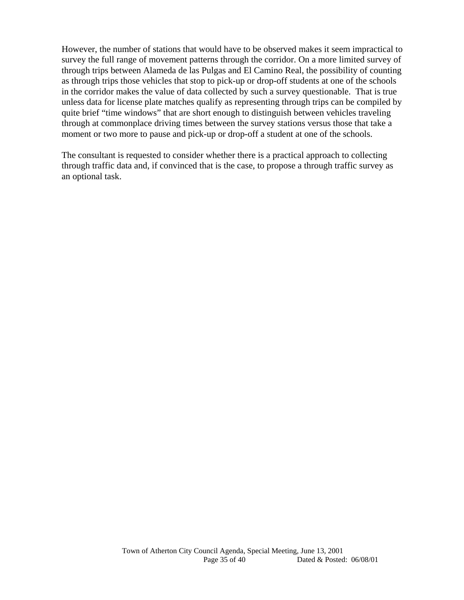However, the number of stations that would have to be observed makes it seem impractical to survey the full range of movement patterns through the corridor. On a more limited survey of through trips between Alameda de las Pulgas and El Camino Real, the possibility of counting as through trips those vehicles that stop to pick-up or drop-off students at one of the schools in the corridor makes the value of data collected by such a survey questionable. That is true unless data for license plate matches qualify as representing through trips can be compiled by quite brief "time windows" that are short enough to distinguish between vehicles traveling through at commonplace driving times between the survey stations versus those that take a moment or two more to pause and pick-up or drop-off a student at one of the schools.

The consultant is requested to consider whether there is a practical approach to collecting through traffic data and, if convinced that is the case, to propose a through traffic survey as an optional task.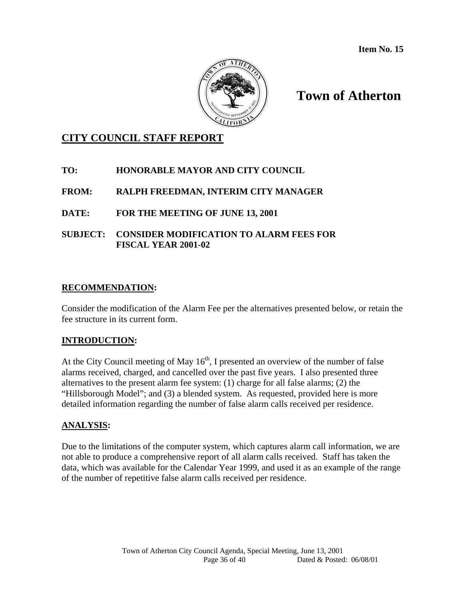

# **Town of Atherton**

### **CITY COUNCIL STAFF REPORT**

### **TO: HONORABLE MAYOR AND CITY COUNCIL**

#### **FROM: RALPH FREEDMAN, INTERIM CITY MANAGER**

### **DATE: FOR THE MEETING OF JUNE 13, 2001**

#### **SUBJECT: CONSIDER MODIFICATION TO ALARM FEES FOR FISCAL YEAR 2001-02**

#### **RECOMMENDATION:**

Consider the modification of the Alarm Fee per the alternatives presented below, or retain the fee structure in its current form.

#### **INTRODUCTION:**

At the City Council meeting of May  $16<sup>th</sup>$ , I presented an overview of the number of false alarms received, charged, and cancelled over the past five years. I also presented three alternatives to the present alarm fee system: (1) charge for all false alarms; (2) the "Hillsborough Model"; and (3) a blended system. As requested, provided here is more detailed information regarding the number of false alarm calls received per residence.

#### **ANALYSIS:**

Due to the limitations of the computer system, which captures alarm call information, we are not able to produce a comprehensive report of all alarm calls received. Staff has taken the data, which was available for the Calendar Year 1999, and used it as an example of the range of the number of repetitive false alarm calls received per residence.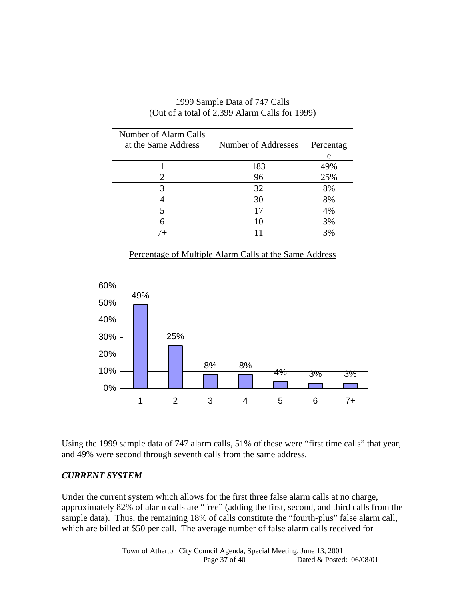| Number of Alarm Calls<br>at the Same Address | Number of Addresses | Percentag<br>e |
|----------------------------------------------|---------------------|----------------|
|                                              | 183                 | 49%            |
|                                              | 96                  | 25%            |
|                                              | 32                  | 8%             |
|                                              | 30                  | 8%             |
|                                              | 17                  | 4%             |
|                                              | 10                  | 3%             |
|                                              |                     | 3%             |

#### 1999 Sample Data of 747 Calls (Out of a total of 2,399 Alarm Calls for 1999)

### Percentage of Multiple Alarm Calls at the Same Address



Using the 1999 sample data of 747 alarm calls, 51% of these were "first time calls" that year, and 49% were second through seventh calls from the same address.

#### *CURRENT SYSTEM*

Under the current system which allows for the first three false alarm calls at no charge, approximately 82% of alarm calls are "free" (adding the first, second, and third calls from the sample data). Thus, the remaining 18% of calls constitute the "fourth-plus" false alarm call, which are billed at \$50 per call. The average number of false alarm calls received for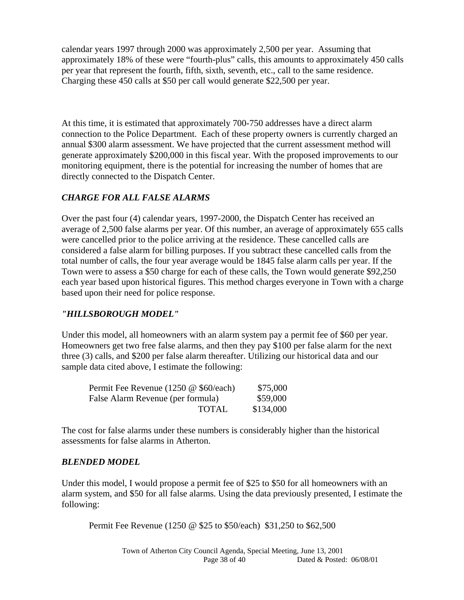calendar years 1997 through 2000 was approximately 2,500 per year. Assuming that approximately 18% of these were "fourth-plus" calls, this amounts to approximately 450 calls per year that represent the fourth, fifth, sixth, seventh, etc., call to the same residence. Charging these 450 calls at \$50 per call would generate \$22,500 per year.

At this time, it is estimated that approximately 700-750 addresses have a direct alarm connection to the Police Department. Each of these property owners is currently charged an annual \$300 alarm assessment. We have projected that the current assessment method will generate approximately \$200,000 in this fiscal year. With the proposed improvements to our monitoring equipment, there is the potential for increasing the number of homes that are directly connected to the Dispatch Center.

### *CHARGE FOR ALL FALSE ALARMS*

Over the past four (4) calendar years, 1997-2000, the Dispatch Center has received an average of 2,500 false alarms per year. Of this number, an average of approximately 655 calls were cancelled prior to the police arriving at the residence. These cancelled calls are considered a false alarm for billing purposes. If you subtract these cancelled calls from the total number of calls, the four year average would be 1845 false alarm calls per year. If the Town were to assess a \$50 charge for each of these calls, the Town would generate \$92,250 each year based upon historical figures. This method charges everyone in Town with a charge based upon their need for police response.

### *"HILLSBOROUGH MODEL"*

Under this model, all homeowners with an alarm system pay a permit fee of \$60 per year. Homeowners get two free false alarms, and then they pay \$100 per false alarm for the next three (3) calls, and \$200 per false alarm thereafter. Utilizing our historical data and our sample data cited above, I estimate the following:

| Permit Fee Revenue (1250 @ \$60/each) | \$75,000  |
|---------------------------------------|-----------|
| False Alarm Revenue (per formula)     | \$59,000  |
| <b>TOTAL</b>                          | \$134,000 |

The cost for false alarms under these numbers is considerably higher than the historical assessments for false alarms in Atherton.

### *BLENDED MODEL*

Under this model, I would propose a permit fee of \$25 to \$50 for all homeowners with an alarm system, and \$50 for all false alarms. Using the data previously presented, I estimate the following:

Permit Fee Revenue (1250 @ \$25 to \$50/each) \$31,250 to \$62,500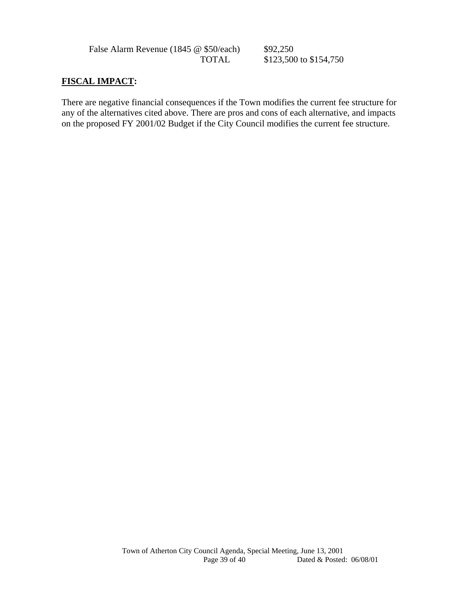False Alarm Revenue (1845 @ \$50/each) \$92,250<br>TOTAL \$123.500

\$123,500 to \$154,750

### **FISCAL IMPACT:**

There are negative financial consequences if the Town modifies the current fee structure for any of the alternatives cited above. There are pros and cons of each alternative, and impacts on the proposed FY 2001/02 Budget if the City Council modifies the current fee structure.